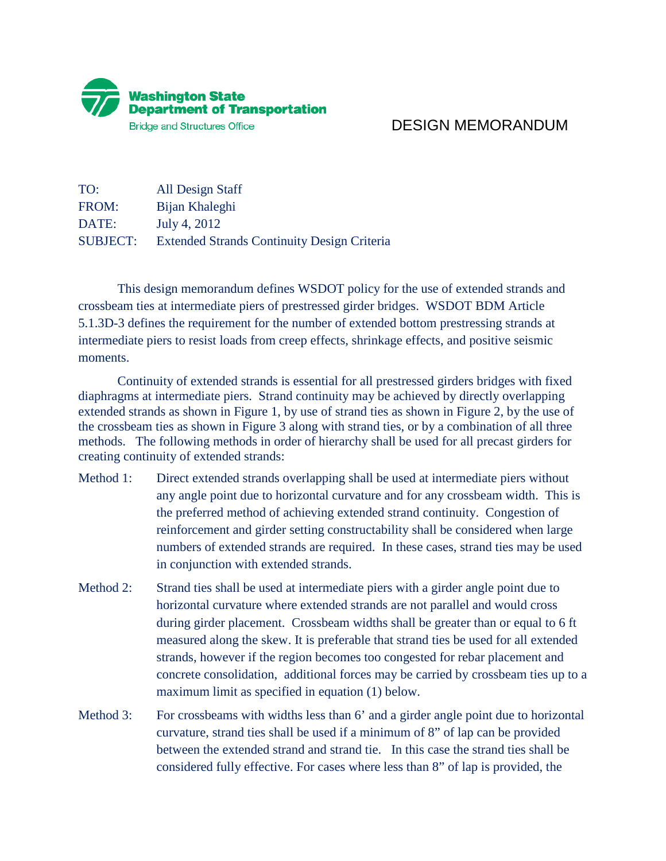

## DESIGN MEMORANDUM

TO: All Design Staff FROM: Bijan Khaleghi DATE: July 4, 2012 SUBJECT: Extended Strands Continuity Design Criteria

 This design memorandum defines WSDOT policy for the use of extended strands and crossbeam ties at intermediate piers of prestressed girder bridges. WSDOT BDM Article 5.1.3D-3 defines the requirement for the number of extended bottom prestressing strands at intermediate piers to resist loads from creep effects, shrinkage effects, and positive seismic moments.

 Continuity of extended strands is essential for all prestressed girders bridges with fixed diaphragms at intermediate piers. Strand continuity may be achieved by directly overlapping extended strands as shown in Figure 1, by use of strand ties as shown in Figure 2, by the use of the crossbeam ties as shown in Figure 3 along with strand ties, or by a combination of all three methods. The following methods in order of hierarchy shall be used for all precast girders for creating continuity of extended strands:

- Method 1: Direct extended strands overlapping shall be used at intermediate piers without any angle point due to horizontal curvature and for any crossbeam width. This is the preferred method of achieving extended strand continuity. Congestion of reinforcement and girder setting constructability shall be considered when large numbers of extended strands are required. In these cases, strand ties may be used in conjunction with extended strands.
- Method 2: Strand ties shall be used at intermediate piers with a girder angle point due to horizontal curvature where extended strands are not parallel and would cross during girder placement. Crossbeam widths shall be greater than or equal to 6 ft measured along the skew. It is preferable that strand ties be used for all extended strands, however if the region becomes too congested for rebar placement and concrete consolidation, additional forces may be carried by crossbeam ties up to a maximum limit as specified in equation (1) below.
- Method 3: For crossbeams with widths less than 6' and a girder angle point due to horizontal curvature, strand ties shall be used if a minimum of 8" of lap can be provided between the extended strand and strand tie. In this case the strand ties shall be considered fully effective. For cases where less than 8" of lap is provided, the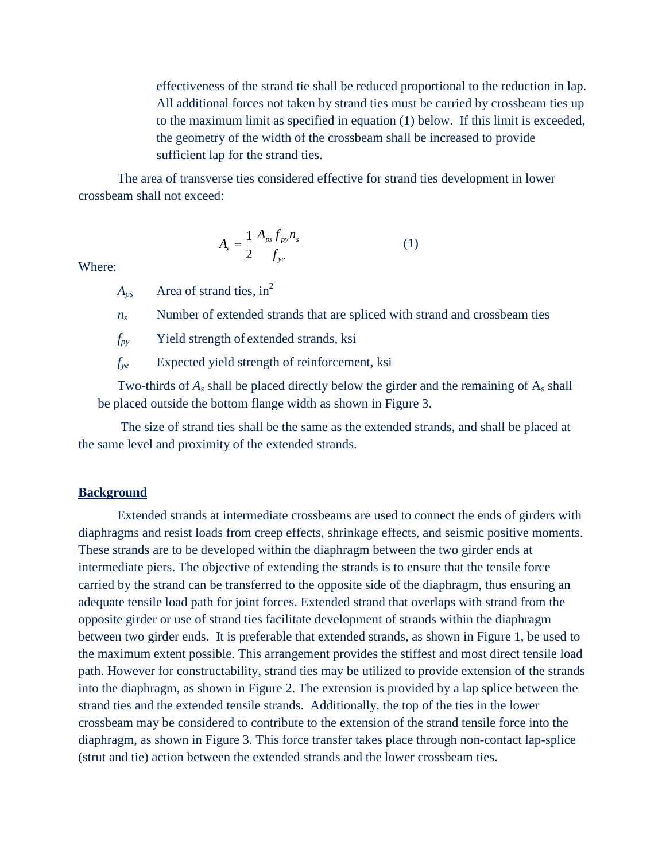effectiveness of the strand tie shall be reduced proportional to the reduction in lap. All additional forces not taken by strand ties must be carried by crossbeam ties up to the maximum limit as specified in equation (1) below. If this limit is exceeded, the geometry of the width of the crossbeam shall be increased to provide sufficient lap for the strand ties.

The area of transverse ties considered effective for strand ties development in lower crossbeam shall not exceed:

$$
A_{s} = \frac{1}{2} \frac{A_{ps} f_{py} n_{s}}{f_{ye}}
$$
 (1)

Where:

 $A_{ps}$  Area of strand ties, in<sup>2</sup>

 $n_s$  Number of extended strands that are spliced with strand and crossbeam ties

*fpy* Yield strength of extended strands, ksi

*fye* Expected yield strength of reinforcement, ksi

Two-thirds of  $A_s$  shall be placed directly below the girder and the remaining of  $A_s$  shall be placed outside the bottom flange width as shown in Figure 3.

 The size of strand ties shall be the same as the extended strands, and shall be placed at the same level and proximity of the extended strands.

## **Background**

 Extended strands at intermediate crossbeams are used to connect the ends of girders with diaphragms and resist loads from creep effects, shrinkage effects, and seismic positive moments. These strands are to be developed within the diaphragm between the two girder ends at intermediate piers. The objective of extending the strands is to ensure that the tensile force carried by the strand can be transferred to the opposite side of the diaphragm, thus ensuring an adequate tensile load path for joint forces. Extended strand that overlaps with strand from the opposite girder or use of strand ties facilitate development of strands within the diaphragm between two girder ends. It is preferable that extended strands, as shown in Figure 1, be used to the maximum extent possible. This arrangement provides the stiffest and most direct tensile load path. However for constructability, strand ties may be utilized to provide extension of the strands into the diaphragm, as shown in Figure 2. The extension is provided by a lap splice between the strand ties and the extended tensile strands. Additionally, the top of the ties in the lower crossbeam may be considered to contribute to the extension of the strand tensile force into the diaphragm, as shown in Figure 3. This force transfer takes place through non-contact lap-splice (strut and tie) action between the extended strands and the lower crossbeam ties.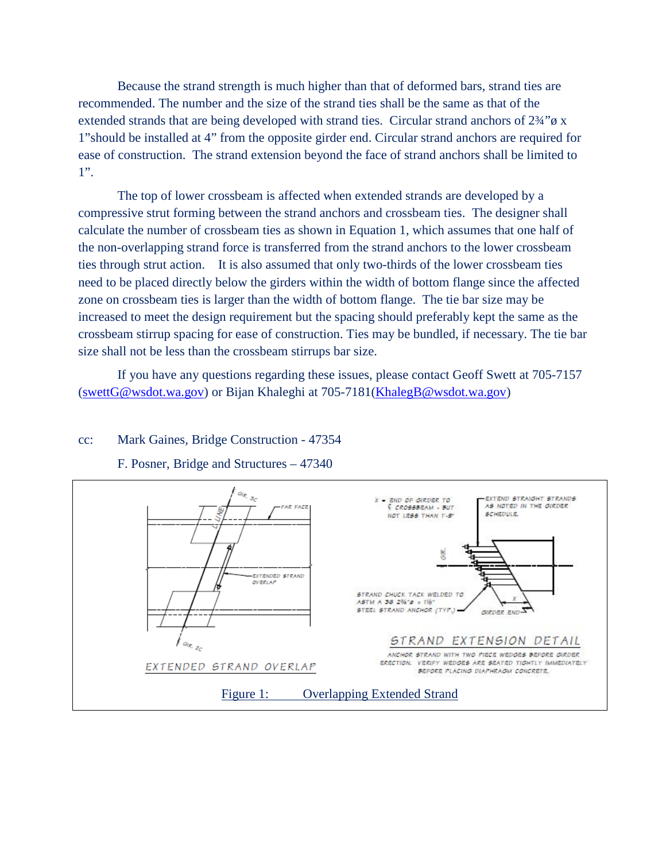Because the strand strength is much higher than that of deformed bars, strand ties are recommended. The number and the size of the strand ties shall be the same as that of the extended strands that are being developed with strand ties. Circular strand anchors of  $2\frac{3}{4}$ " $\sigma$  x 1"should be installed at 4" from the opposite girder end. Circular strand anchors are required for ease of construction. The strand extension beyond the face of strand anchors shall be limited to 1".

 The top of lower crossbeam is affected when extended strands are developed by a compressive strut forming between the strand anchors and crossbeam ties. The designer shall calculate the number of crossbeam ties as shown in Equation 1, which assumes that one half of the non-overlapping strand force is transferred from the strand anchors to the lower crossbeam ties through strut action. It is also assumed that only two-thirds of the lower crossbeam ties need to be placed directly below the girders within the width of bottom flange since the affected zone on crossbeam ties is larger than the width of bottom flange. The tie bar size may be increased to meet the design requirement but the spacing should preferably kept the same as the crossbeam stirrup spacing for ease of construction. Ties may be bundled, if necessary. The tie bar size shall not be less than the crossbeam stirrups bar size.

 If you have any questions regarding these issues, please contact Geoff Swett at 705-7157 [\(swettG@wsdot.wa.gov\)](mailto:swettG@wsdot.wa.gov) or Bijan Khaleghi at 705-7181[\(KhalegB@wsdot.wa.gov\)](mailto:KhalegB@wsdot.wa.gov)

## cc: Mark Gaines, Bridge Construction - 47354



F. Posner, Bridge and Structures – 47340